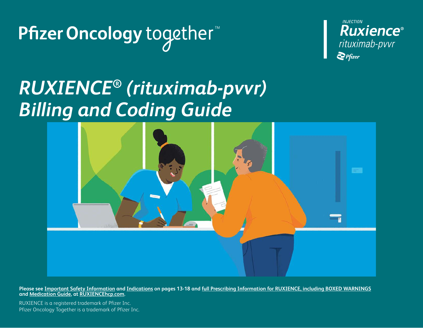Pfizer Oncology together<sup>™</sup>



# *RUXIENCE***®** *(rituximab-pvvr) Billing and Coding Guide*



Please see <u>Important Safety Information</u> and <u>Indications</u> on pages 13-18 and <u>[full Prescribing Information for RUXIENCE, including BOXED WARNINGS](http://labeling.pfizer.com/ShowLabeling.aspx?id=12090)</u> **and [Medication Guide,](http://labeling.pfizer.com/ShowLabeling.aspx?id=12090§ion=MedGuide) at [RUXIENCEhcp.com.](http://RUXIENCEhcp.com)**

RUXIENCE is a registered trademark of Pfizer Inc. Pfizer Oncology Together is a trademark of Pfizer Inc.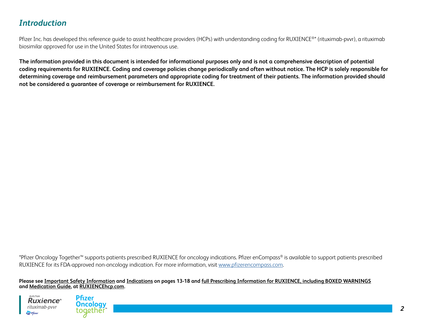# *Introduction*

Pfizer Inc. has developed this reference quide to assist healthcare providers (HCPs) with understanding coding for RUXIENCE®\* (rituximab-pvvr), a rituximab biosimilar approved for use in the United States for intravenous use.

**The information provided in this document is intended for informational purposes only and is not a comprehensive description of potential coding requirements for RUXIENCE. Coding and coverage policies change periodically and often without notice. The HCP is solely responsible for determining coverage and reimbursement parameters and appropriate coding for treatment of their patients. The information provided should not be considered a guarantee of coverage or reimbursement for RUXIENCE.**

\*Pfizer Oncology Together™ supports patients prescribed RUXIENCE for oncology indications. Pfizer enCompass® is available to support patients prescribed RUXIENCE for its FDA-approved non-oncology indication. For more information, visit [www.pfizerencompass.com.](http://www.pfizerencompass.com)



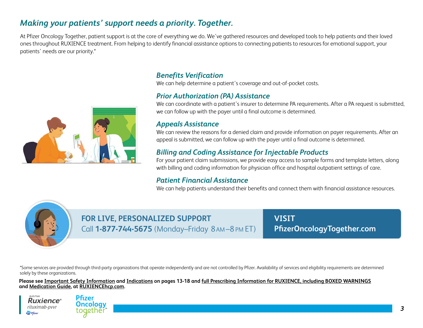# *Making your patients' support needs a priority. Together.*

At Pfizer Oncology Together, patient support is at the core of everything we do. We've gathered resources and developed tools to help patients and their loved ones throughout RUXIENCE treatment. From helping to identify financial assistance options to connecting patients to resources for emotional support, your patients' needs are our priority.\*



# *Benefits Verification*

We can help determine a patient's coverage and out-of-pocket costs.

### *Prior Authorization (PA) Assistance*

We can coordinate with a patient's insurer to determine PA requirements. After a PA request is submitted, we can follow up with the payer until a final outcome is determined.

### *Appeals Assistance*

We can review the reasons for a denied claim and provide information on payer requirements. After an appeal is submitted, we can follow up with the payer until a final outcome is determined.

# *Billing and Coding Assistance for Injectable Products*

For your patient claim submissions, we provide easy access to sample forms and template letters, along with billing and coding information for physician office and hospital outpatient settings of care.

### *Patient Financial Assistance*

We can help patients understand their benefits and connect them with financial assistance resources.



# **FOR LIVE, PERSONALIZED SUPPORT VISIT** Call **1-877-744-5675** (Monday–Friday 8 AM –8 PM ET)

**[PfizerOncologyTogether.com](http://PfizerOncologyTogether.com)** 

\*Some services are provided through third-party organizations that operate independently and are not controlled by Pfizer. Availability of services and eligibility requirements are determined solely by these organizations.



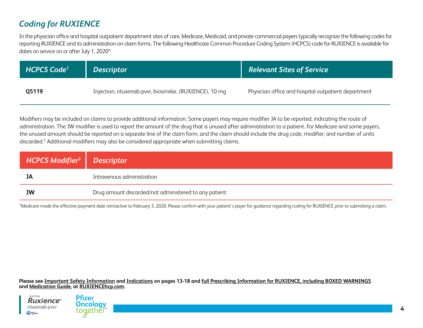# *Coding for RUXIENCE*

In the physician office and hospital outpatient department sites of care, Medicare, Medicaid, and private commercial payers typically recognize the following codes for reporting RUXIENCE and its administration on claim forms. The following Healthcare Common Procedure Coding System (HCPCS) code for RUXIENCE is available for dates on service on or after July 1, 2020\*:

| <b>HCPCS Code<sup>1</sup></b> | <b>Descriptor</b>                                        | Relevant Sites of Service                           |
|-------------------------------|----------------------------------------------------------|-----------------------------------------------------|
| Q5119                         | Injection, rituximab-pvvr, biosimilar, (RUXIENCE), 10 mg | Physician office and hospital outpatient department |

Modifiers may be included on claims to provide additional information. Some payers may require modifier JA to be reported, indicating the route of administration. The JW modifier is used to report the amount of the drug that is unused after administration to a patient. For Medicare and some payers, the unused amount should be reported on a separate line of the claim form, and the claim should include the drug code, modifier, and number of units discarded.2 Additional modifiers may also be considered appropriate when submitting claims.

| HCPCS Modifier <sup>3</sup> Descriptor |                                                       |
|----------------------------------------|-------------------------------------------------------|
| JA                                     | Intravenous administration                            |
| <b>JW</b>                              | Drug amount discarded/not administered to any patient |

\*Medicare made the effective payment date retroactive to February 3, 2020. Please confirm with your patient's payer for guidance regarding coding for RUXIENCE prior to submitting a claim.



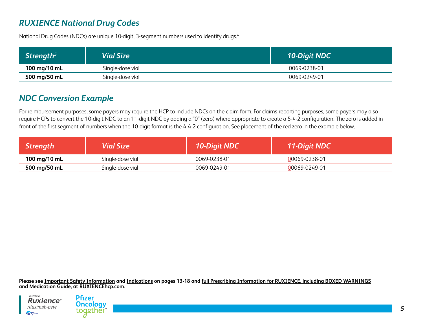# *RUXIENCE National Drug Codes*

National Drug Codes (NDCs) are unique 10-digit, 3-segment numbers used to identify drugs.4

| Strength <sup>5</sup> | <b>Vial Size</b> | 10-Digit NDC |
|-----------------------|------------------|--------------|
| 100 mg/10 mL          | Single-dose vial | 0069-0238-01 |
| 500 mg/50 mL          | Single-dose vial | 0069-0249-01 |

# *NDC Conversion Example*

For reimbursement purposes, some payers may require the HCP to include NDCs on the claim form. For claims-reporting purposes, some payers may also require HCPs to convert the 10-digit NDC to an 11-digit NDC by adding a "0" (zero) where appropriate to create a 5-4-2 configuration. The zero is added in front of the first segment of numbers when the 10-digit format is the 4-4-2 configuration. See placement of the red zero in the example below.

| <b>Strength</b> | <b>Vial Size</b> | <b>10-Digit NDC</b> | <b>11-Digit NDC</b> |
|-----------------|------------------|---------------------|---------------------|
| 100 mg/10 mL    | Single-dose vial | 0069-0238-01        | 00069-0238-01       |
| 500 mg/50 mL    | Single-dose vial | 0069-0249-01        | 00069-0249-01       |



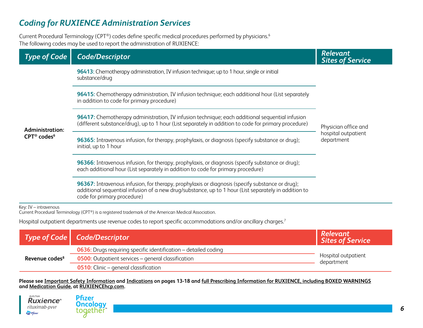# *Coding for RUXIENCE Administration Services*

Current Procedural Terminology (CPT®) codes define specific medical procedures performed by physicians.<sup>6</sup> The following codes may be used to report the administration of RUXIENCE:

| <b>Type of Code</b>                                           | <b>Code/Descriptor</b>                                                                                                                                                                                                                 | <b>Relevant</b><br><b>Sites of Service</b>                |  |
|---------------------------------------------------------------|----------------------------------------------------------------------------------------------------------------------------------------------------------------------------------------------------------------------------------------|-----------------------------------------------------------|--|
| <b>Administration:</b><br>CPT <sup>®</sup> codes <sup>6</sup> | 96413: Chemotherapy administration, IV infusion technique; up to 1 hour, single or initial<br>substance/drug                                                                                                                           |                                                           |  |
|                                                               | 96415: Chemotherapy administration, IV infusion technique; each additional hour (List separately<br>in addition to code for primary procedure)                                                                                         |                                                           |  |
|                                                               | 96417: Chemotherapy administration, IV infusion technique; each additional sequential infusion<br>(different substance/drug), up to 1 hour (List separately in addition to code for primary procedure)                                 | Physician office and<br>hospital outpatient<br>department |  |
|                                                               | 96365: Intravenous infusion, for therapy, prophylaxis, or diagnosis (specify substance or drug);<br>initial, up to 1 hour                                                                                                              |                                                           |  |
|                                                               | 96366: Intravenous infusion, for therapy, prophylaxis, or diagnosis (specify substance or drug);<br>each additional hour (List separately in addition to code for primary procedure)                                                   |                                                           |  |
|                                                               | 96367: Intravenous infusion, for therapy, prophylaxis or diagnosis (specify substance or drug);<br>additional sequential infusion of a new drug/substance, up to 1 hour (List separately in addition to<br>code for primary procedure) |                                                           |  |
| Key: IV - intravenous                                         | Current Procedural Terminology (CPT®) is a registered trademark of the American Medical Association.                                                                                                                                   |                                                           |  |
|                                                               | Hospital outpatient departments use revenue codes to report specific accommodations and/or ancillary charges. <sup>7</sup>                                                                                                             |                                                           |  |

|                            | Type of Code   Code/Descriptor                                         | <b>Relevant<br/>Sites of Service</b> |
|----------------------------|------------------------------------------------------------------------|--------------------------------------|
| Revenue codes <sup>8</sup> | <b>0636:</b> Drugs requiring specific identification – detailed coding | Hospital outpatient<br>department    |
|                            | <b>0500:</b> Outpatient services – general classification              |                                      |
|                            | <b>0510:</b> Clinic – general classification                           |                                      |

**Please see Important Safety Information and Indications on pages 13-18 and [full Prescribing Information for RUXIENCE, including BOXED WARNINGS](http://labeling.pfizer.com/ShowLabeling.aspx?id=12090) and [Medication Guide](http://labeling.pfizer.com/ShowLabeling.aspx?id=12090§ion=MedGuide), at [RUXIENCEhcp.com](http://RUXIENCEhcp.com).**

 $\label{eq:INJECTION} INJECTION$ **Ruxience**® rituximab-pvvr  $\sum$  Pfizer

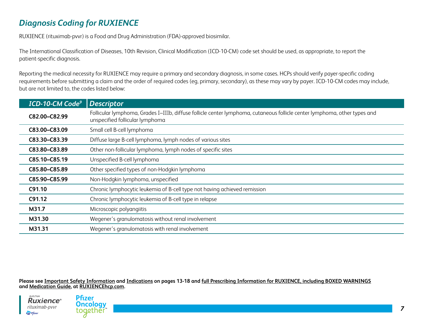# *Diagnosis Coding for RUXIENCE*

RUXIENCE (rituximab-pvvr) is a Food and Drug Administration (FDA)-approved biosimilar.

The International Classification of Diseases, 10th Revision, Clinical Modification (ICD-10-CM) code set should be used, as appropriate, to report the patient-specific diagnosis.

Reporting the medical necessity for RUXIENCE may require a primary and secondary diagnosis, in some cases. HCPs should verify payer-specific coding requirements before submitting a claim and the order of required codes (eg, primary, secondary), as these may vary by payer. ICD-10-CM codes may include, but are not limited to, the codes listed below:

| ICD-10-CM Code <sup>9</sup> | Descriptor                                                                                                                                                   |
|-----------------------------|--------------------------------------------------------------------------------------------------------------------------------------------------------------|
| C82.00-C82.99               | Follicular lymphoma, Grades I-IIIb, diffuse follicle center lymphoma, cutaneous follicle center lymphoma, other types and<br>unspecified follicular lymphoma |
| C83.00-C83.09               | Small cell B-cell lymphoma                                                                                                                                   |
| C83.30-C83.39               | Diffuse large B-cell lymphoma, lymph nodes of various sites                                                                                                  |
| C83.80-C83.89               | Other non-follicular lymphoma, lymph nodes of specific sites                                                                                                 |
| C85.10-C85.19               | Unspecified B-cell lymphoma                                                                                                                                  |
| C85.80-C85.89               | Other specified types of non-Hodgkin lymphoma                                                                                                                |
| C85.90-C85.99               | Non-Hodgkin lymphoma, unspecified                                                                                                                            |
| C91.10                      | Chronic lymphocytic leukemia of B-cell type not having achieved remission                                                                                    |
| C91.12                      | Chronic lymphocytic leukemia of B-cell type in relapse                                                                                                       |
| M31.7                       | Microscopic polyangiitis                                                                                                                                     |
| M31.30                      | Wegener's granulomatosis without renal involvement                                                                                                           |
| M31.31                      | Wegener's granulomatosis with renal involvement                                                                                                              |



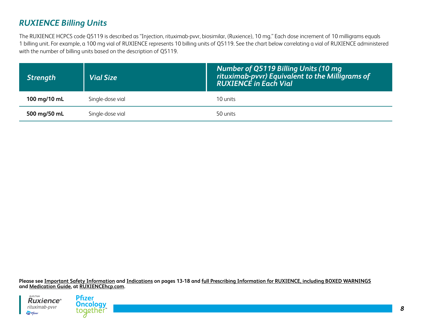# *RUXIENCE Billing Units*

The RUXIENCE HCPCS code Q5119 is described as "Injection, rituximab-pvvr, biosimilar, (Ruxience), 10 mg." Each dose increment of 10 milligrams equals 1 billing unit. For example, a 100 mg vial of RUXIENCE represents 10 billing units of Q5119. See the chart below correlating a vial of RUXIENCE administered with the number of billing units based on the description of Q5119.

| <b>Strength</b> | <b>Vial Size</b> | Number of Q5119 Billing Units (10 mg<br>rituximab-pvvr) Equivalent to the Milligrams of<br><b>RUXIENCÉ in Each Vial</b> |
|-----------------|------------------|-------------------------------------------------------------------------------------------------------------------------|
| 100 mg/10 mL    | Single-dose vial | 10 units                                                                                                                |
| 500 mg/50 mL    | Single-dose vial | 50 units                                                                                                                |



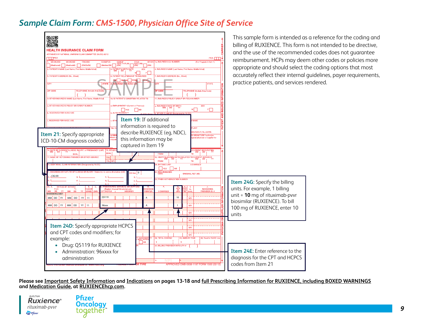# *Sample Claim Form: CMS-1500, Physician Office Site of Service*





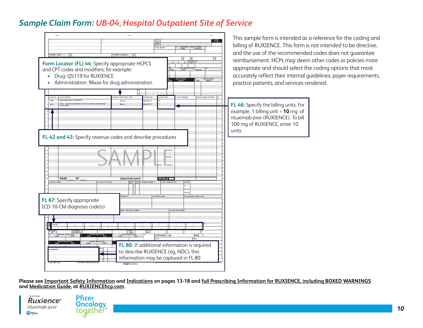# *Sample Claim Form: UB-04, Hospital Outpatient Site of Service*



This sample form is intended as a reference for the coding and billing of RUXIENCE. This form is not intended to be directive, and the use of the recommended codes does not guarantee reimbursement. HCPs may deem other codes or policies more appropriate and should select the coding options that most accurately reflect their internal guidelines, payer requirements, practice patients, and services rendered.

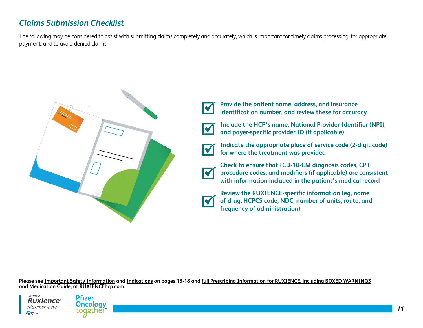# *Claims Submission Checklist*

The following may be considered to assist with submitting claims completely and accurately, which is important for timely claims processing, for appropriate payment, and to avoid denied claims.



**Provide the patient name, address, and insurance identification number, and review these for accuracy**



**Include the HCP's name, National Provider Identifier (NPI), and payer-specific provider ID (if applicable)**



**Indicate the appropriate place of service code (2-digit code) for where the treatment was provided**



**Check to ensure that ICD-10-CM diagnosis codes, CPT procedure codes, and modifiers (if applicable) are consistent with information included in the patient's medical record**



**Review the RUXIENCE-specific information (eg, name of drug, HCPCS code, NDC, number of units, route, and frequency of administration)**



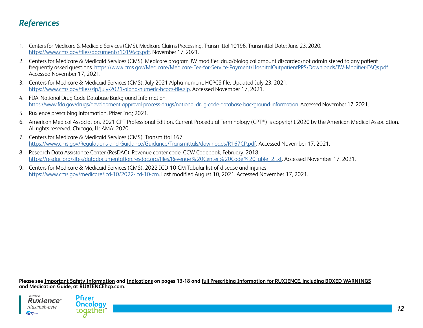# *References*

- 1. Centers for Medicare & Medicaid Services (CMS). Medicare Claims Processing. Transmittal 10196. Transmittal Date: June 23, 2020. <https://www.cms.gov/files/document/r10196cp.pdf>. November 17, 2021.
- 2. Centers for Medicare & Medicaid Services (CMS). Medicare program JW modifier: drug/biological amount discarded/not administered to any patient frequently asked questions. <https://www.cms.gov/Medicare/Medicare-Fee-for-Service-Payment/HospitalOutpatientPPS/Downloads/JW-Modifier-FAQs.pdf>. Accessed November 17, 2021.
- 3. Centers for Medicare & Medicaid Services (CMS). July 2021 Alpha-numeric HCPCS file. Updated July 23, 2021. <https://www.cms.gov/files/zip/july-2021-alpha-numeric-hcpcs-file.zip>. Accessed November 17, 2021.
- 4. FDA. National Drug Code Database Background Information. <https://www.fda.gov/drugs/development-approval-process-drugs/national-drug-code-database-background-information>. Accessed November 17, 2021.
- 5. Ruxience prescribing information. Pfizer Inc.; 2021.
- 6. American Medical Association. 2021 CPT Professional Edition. Current Procedural Terminology (CPT®) is copyright 2020 by the American Medical Association. All rights reserved. Chicago, IL: AMA; 2020.
- 7. Centers for Medicare & Medicaid Services (CMS). Transmittal 167. [https://www.cms.gov/Regulations-and-Guidance/Guidance/Transmittals/downloads/R167CP.pdf.](https://www.cms.gov/Regulations-and-Guidance/Guidance/Transmittals/downloads/R167CP.pdf) Accessed November 17, 2021.
- 8. Research Data Assistance Center (ResDAC). Revenue center code. CCW Codebook, February, 2018. [https://resdac.org/sites/datadocumentation.resdac.org/files/Revenue%20Center%20Code%20Table\\_2.txt.](https://resdac.org/sites/datadocumentation.resdac.org/files/Revenue%20Center%20Code%20Table_2.txt) Accessed November 17, 2021.
- 9. Centers for Medicare & Medicaid Services (CMS). 2022 ICD-10-CM Tabular list of disease and injuries. [https://www.cms.gov/medicare/icd-10/2022-icd-10-cm.](https://www.cms.gov/medicare/icd-10/2022-icd-10-cm) Last modified August 10, 2021. Accessed November 17, 2021.



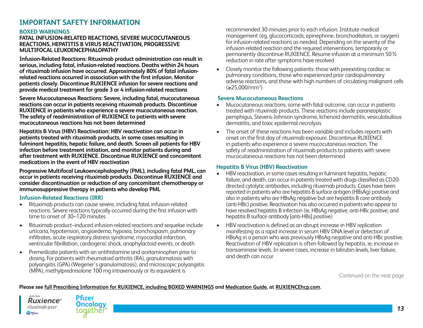## **IMPORTANT SAFETY INFORMATION**

#### **BOXED WARNINGS**

#### **FATAL INFUSION-RELATED REACTIONS, SEVERE MUCOCUTANEOUS REACTIONS, HEPATITIS B VIRUS REACTIVATION, PROGRESSIVE MULTIFOCAL LEUKOENCEPHALOPATHY**

**Infusion-Related Reactions: Rituximab product administration can result in serious, including fatal, infusion-related reactions. Deaths within 24 hours of rituximab infusion have occurred. Approximately 80% of fatal infusionrelated reactions occurred in association with the first infusion. Monitor patients closely. Discontinue RUXIENCE infusion for severe reactions and provide medical treatment for grade 3 or 4 infusion-related reactions** 

**Severe Mucocutaneous Reactions: Severe, including fatal, mucocutaneous reactions can occur in patients receiving rituximab products. Discontinue RUXIENCE in patients who experience a severe mucocutaneous reaction. The safety of readministration of RUXIENCE to patients with severe mucocutaneous reactions has not been determined**

**Hepatitis B Virus (HBV) Reactivation: HBV reactivation can occur in patients treated with rituximab products, in some cases resulting in fulminant hepatitis, hepatic failure, and death. Screen all patients for HBV infection before treatment initiation, and monitor patients during and after treatment with RUXIENCE. Discontinue RUXIENCE and concomitant medications in the event of HBV reactivation** 

**Progressive Multifocal Leukoencephalopathy (PML), including fatal PML, can occur in patients receiving rituximab products. Discontinue RUXIENCE and consider discontinuation or reduction of any concomitant chemotherapy or immunosuppressive therapy in patients who develop PML**

#### **Infusion-Related Reactions (IRR)**

- Rituximab products can cause severe, including fatal, infusion-related reactions. Severe reactions typically occurred during the first infusion with time to onset of 30–120 minutes
- Rituximab product–induced infusion-related reactions and sequelae include urticaria, hypotension, angioedema, hypoxia, bronchospasm, pulmonary infiltrates, acute respiratory distress syndrome, myocardial infarction, ventricular fibrillation, cardiogenic shock, anaphylactoid events, or death
- Premedicate patients with an antihistamine and acetaminophen prior to dosing. For patients with rheumatoid arthritis (RA), granulomatosis with polyangiitis (GPA) (Wegener's granulomatosis), and microscopic polyangiitis (MPA), methylprednisolone 100 mg intravenously or its equivalent is

recommended 30 minutes prior to each infusion. Institute medical management (eg, glucocorticoids, epinephrine, bronchodilators, or oxygen) for infusion-related reactions as needed. Depending on the severity of the infusion-related reaction and the required interventions, temporarily or permanently discontinue RUXIENCE. Resume infusion at a minimum 50% reduction in rate after symptoms have resolved

• Closely monitor the following patients: those with preexisting cardiac or pulmonary conditions, those who experienced prior cardiopulmonary adverse reactions, and those with high numbers of circulating malignant cells (≥25,000/mm3 )

#### **Severe Mucocutaneous Reactions**

- Mucocutaneous reactions, some with fatal outcome, can occur in patients treated with rituximab products. These reactions include paraneoplastic pemphigus, Stevens-Johnson syndrome, lichenoid dermatitis, vesiculobullous dermatitis, and toxic epidermal necrolysis
- The onset of these reactions has been variable and includes reports with onset on the first day of rituximab exposure. Discontinue RUXIENCE in patients who experience a severe mucocutaneous reaction. The safety of readministration of rituximab products to patients with severe mucocutaneous reactions has not been determined

#### **Hepatitis B Virus (HBV) Reactivation**

- HBV reactivation, in some cases resulting in fulminant hepatitis, hepatic failure, and death, can occur in patients treated with drugs classified as CD20 directed cytolytic antibodies, including rituximab products. Cases have been reported in patients who are hepatitis B surface antigen (HBsAg) positive and also in patients who are HBsAg negative but are hepatitis B core antibody (anti-HBc) positive. Reactivation has also occurred in patients who appear to have resolved hepatitis B infection (ie, HBsAg negative, anti-HBc positive, and hepatitis B surface antibody [anti-HBs] positive)
- HBV reactivation is defined as an abrupt increase in HBV replication manifesting as a rapid increase in serum HBV DNA level or detection of HBsAg in a person who was previously HBsAg negative and anti-HBc positive. Reactivation of HBV replication is often followed by hepatitis, ie, increase in transaminase levels. In severe cases, increase in bilirubin levels, liver failure, and death can occur

Continued on the next page

#### **Please see [full Prescribing Information for RUXIENCE, including BOXED WARNINGS](http://labeling.pfizer.com/ShowLabeling.aspx?id=12090) and [Medication Guide,](http://labeling.pfizer.com/ShowLabeling.aspx?id=12090§ion=MedGuide) at [RUXIENCEhcp.com.](http://RUXIENCEhcp.com)**

Ruxience® rituximab-pvvr  $\sum$  Pfizer

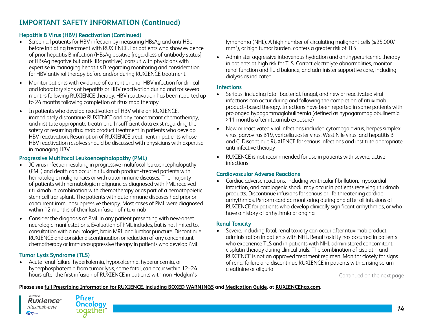### **Hepatitis B Virus (HBV) Reactivation (Continued)**

- Screen all patients for HBV infection by measuring HBsAg and anti-HBc before initiating treatment with RUXIENCE. For patients who show evidence of prior hepatitis B infection (HBsAg positive [regardless of antibody status] or HBsAg negative but anti-HBc positive), consult with physicians with expertise in managing hepatitis B regarding monitoring and consideration for HBV antiviral therapy before and/or during RUXIENCE treatment
- Monitor patients with evidence of current or prior HBV infection for clinical and laboratory signs of hepatitis or HBV reactivation during and for several months following RUXIENCE therapy. HBV reactivation has been reported up to 24 months following completion of rituximab therapy
- In patients who develop reactivation of HBV while on RUXIENCE, immediately discontinue RUXIENCE and any concomitant chemotherapy, and institute appropriate treatment. Insufficient data exist regarding the safety of resuming rituximab product treatment in patients who develop HBV reactivation. Resumption of RUXIENCE treatment in patients whose HBV reactivation resolves should be discussed with physicians with expertise in managing HBV

### **Progressive Multifocal Leukoencephalopathy (PML)**

- JC virus infection resulting in progressive multifocal leukoencephalopathy (PML) and death can occur in rituximab product−treated patients with hematologic malignancies or with autoimmune diseases. The majority of patients with hematologic malignancies diagnosed with PML received rituximab in combination with chemotherapy or as part of a hematopoietic stem cell transplant. The patients with autoimmune diseases had prior or concurrent immunosuppressive therapy. Most cases of PML were diagnosed within 12 months of their last infusion of rituximab
- Consider the diagnosis of PML in any patient presenting with new-onset neurologic manifestations. Evaluation of PML includes, but is not limited to, consultation with a neurologist, brain MRI, and lumbar puncture. Discontinue RUXIENCE and consider discontinuation or reduction of any concomitant chemotherapy or immunosuppressive therapy in patients who develop PML

### **Tumor Lysis Syndrome (TLS)**

• Acute renal failure, hyperkalemia, hypocalcemia, hyperuricemia, or hyperphosphatemia from tumor lysis, some fatal, can occur within 12–24 hours after the first infusion of RUXIENCE in patients with non-Hodgkin's lymphoma (NHL). A high number of circulating malignant cells (≥25,000/ mm<sup>3</sup>), or high tumor burden, confers a greater risk of TLS

• Administer aggressive intravenous hydration and antihyperuricemic therapy in patients at high risk for TLS. Correct electrolyte abnormalities, monitor renal function and fluid balance, and administer supportive care, including dialysis as indicated

#### **Infections**

- Serious, including fatal, bacterial, fungal, and new or reactivated viral infections can occur during and following the completion of rituximab product−based therapy. Infections have been reported in some patients with prolonged hypogammaglobulinemia (defined as hypogammaglobulinemia >11 months after rituximab exposure)
- New or reactivated viral infections included cytomegalovirus, herpes simplex virus, parvovirus B19, varicella zoster virus, West Nile virus, and hepatitis B and C. Discontinue RUXIENCE for serious infections and institute appropriate anti-infective therapy
- RUXIENCE is not recommended for use in patients with severe, active infections

### **Cardiovascular Adverse Reactions**

• Cardiac adverse reactions, including ventricular fibrillation, myocardial infarction, and cardiogenic shock, may occur in patients receiving rituximab products. Discontinue infusions for serious or life-threatening cardiac arrhythmias. Perform cardiac monitoring during and after all infusions of RUXIENCE for patients who develop clinically significant arrhythmias, or who have a history of arrhythmia or angina

### **Renal Toxicity**

• Severe, including fatal, renal toxicity can occur after rituximab product administration in patients with NHL. Renal toxicity has occurred in patients who experience TLS and in patients with NHL administered concomitant cisplatin therapy during clinical trials. The combination of cisplatin and RUXIENCE is not an approved treatment regimen. Monitor closely for signs of renal failure and discontinue RUXIENCE in patients with a rising serum creatinine or oliguria

Continued on the next page

#### **Please see [full Prescribing Information for RUXIENCE, including BOXED WARNINGS](http://labeling.pfizer.com/ShowLabeling.aspx?id=12090) and [Medication Guide,](http://labeling.pfizer.com/ShowLabeling.aspx?id=12090§ion=MedGuide) at [RUXIENCEhcp.com.](http://RUXIENCEhcp.com)**

**Ruxience**® rituximab-pvvr  $\sum$  Pfizer

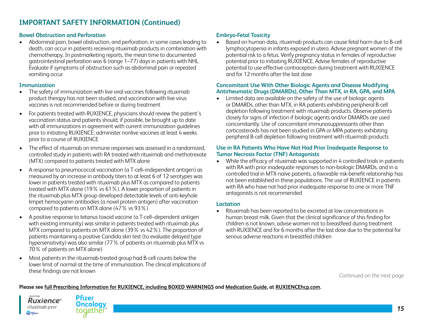#### **Bowel Obstruction and Perforation**

• Abdominal pain, bowel obstruction, and perforation, in some cases leading to death, can occur in patients receiving rituximab products in combination with chemotherapy. In postmarketing reports, the mean time to documented gastrointestinal perforation was 6 (range 1–77) days in patients with NHL. Evaluate if symptoms of obstruction such as abdominal pain or repeated vomiting occur

#### **Immunization**

- The safety of immunization with live viral vaccines following rituximab product therapy has not been studied, and vaccination with live virus vaccines is not recommended before or during treatment
- For patients treated with RUXIENCE, physicians should review the patient's vaccination status and patients should, if possible, be brought up to date with all immunizations in agreement with current immunization guidelines prior to initiating RUXIENCE; administer nonlive vaccines at least 4 weeks prior to a course of RUXIENCE
- The effect of rituximab on immune responses was assessed in a randomized, controlled study in patients with RA treated with rituximab and methotrexate (MTX) compared to patients treated with MTX alone
- A response to pneumococcal vaccination (a T-cell–independent antigen) as measured by an increase in antibody titers to at least 6 of 12 serotypes was lower in patients treated with rituximab plus MTX as compared to patients treated with MTX alone (19% vs 61%). A lower proportion of patients in the rituximab plus MTX group developed detectable levels of anti-keyhole limpet hemocyanin antibodies (a novel protein antigen) after vaccination compared to patients on MTX alone (47% vs 93%)
- A positive response to tetanus toxoid vaccine (a T-cell–dependent antigen with existing immunity) was similar in patients treated with rituximab plus MTX compared to patients on MTX alone (39% vs 42%). The proportion of patients maintaining a positive Candida skin test (to evaluate delayed type hypersensitivity) was also similar (77% of patients on rituximab plus MTX vs 70% of patients on MTX alone)
- Most patients in the rituximab-treated group had B-cell counts below the lower limit of normal at the time of immunization. The clinical implications of these findings are not known

#### **Embryo-Fetal Toxicity**

• Based on human data, rituximab products can cause fetal harm due to B-cell lymphocytopenia in infants exposed in utero. Advise pregnant women of the potential risk to a fetus. Verify pregnancy status in females of reproductive potential prior to initiating RUXIENCE. Advise females of reproductive potential to use effective contraception during treatment with RUXIENCE and for 12 months after the last dose

#### **Concomitant Use With Other Biologic Agents and Disease Modifying Antirheumatic Drugs (DMARDs), Other Than MTX, in RA, GPA, and MPA**

• Limited data are available on the safety of the use of biologic agents or DMARDs, other than MTX, in RA patients exhibiting peripheral B-cell depletion following treatment with rituximab products. Observe patients closely for signs of infection if biologic agents and/or DMARDs are used concomitantly. Use of concomitant immunosuppressants other than corticosteroids has not been studied in GPA or MPA patients exhibiting peripheral B-cell depletion following treatment with rituximab products

#### **Use in RA Patients Who Have Not Had Prior Inadequate Response to Tumor Necrosis Factor (TNF) Antagonists**

• While the efficacy of rituximab was supported in 4 controlled trials in patients with RA with prior inadequate responses to non-biologic DMARDs, and in a controlled trial in MTX-naïve patients, a favorable risk-benefit relationship has not been established in these populations. The use of RUXIENCE in patients with RA who have not had prior inadequate response to one or more TNF antagonists is not recommended

#### **Lactation**

• Rituximab has been reported to be excreted at low concentrations in human breast milk. Given that the clinical significance of this finding for children is not known, advise women not to breastfeed during treatment with RUXIENCE and for 6 months after the last dose due to the potential for serious adverse reactions in breastfed children

Continued on the next page



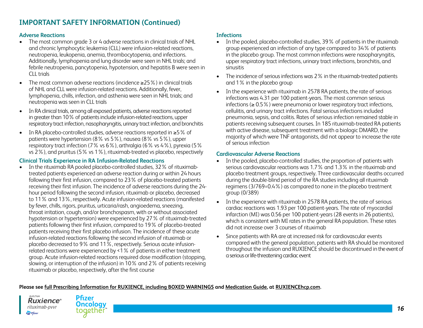#### **Adverse Reactions**

- The most common grade 3 or 4 adverse reactions in clinical trials of NHL and chronic lymphocytic leukemia (CLL) were infusion-related reactions, neutropenia, leukopenia, anemia, thrombocytopenia, and infections. Additionally, lymphopenia and lung disorder were seen in NHL trials; and febrile neutropenia, pancytopenia, hypotension, and hepatitis B were seen in CLL trials
- The most common adverse reactions (incidence ≥25%) in clinical trials of NHL and CLL were infusion-related reactions. Additionally, fever, lymphopenia, chills, infection, and asthenia were seen in NHL trials; and neutropenia was seen in CLL trials
- In RA clinical trials, among all exposed patients, adverse reactions reported in greater than 10% of patients include infusion-related reactions, upper respiratory tract infection, nasopharyngitis, urinary tract infection, and bronchitis
- In RA placebo-controlled studies, adverse reactions reported in ≥5% of patients were hypertension (8% vs 5%), nausea (8% vs 5%), upper respiratory tract infection (7% vs 6%), arthralgia (6% vs 4%), pyrexia (5% vs 2%), and pruritus (5% vs 1%), rituximab-treated vs placebo, respectively

#### **Clinical Trials Experience in RA Infusion-Related Reactions**

• In the rituximab RA pooled placebo-controlled studies, 32% of rituximabtreated patients experienced an adverse reaction during or within 24 hours following their first infusion, compared to 23% of placebo-treated patients receiving their first infusion. The incidence of adverse reactions during the 24 hour period following the second infusion, rituximab or placebo, decreased to 11% and 13%, respectively. Acute infusion-related reactions (manifested by fever, chills, rigors, pruritus, urticaria/rash, angioedema, sneezing, throat irritation, cough, and/or bronchospasm, with or without associated hypotension or hypertension) were experienced by 27% of rituximab-treated patients following their first infusion, compared to 19% of placebo-treated patients receiving their first placebo infusion. The incidence of these acute infusion-related reactions following the second infusion of rituximab or placebo decreased to 9% and 11%, respectively. Serious acute infusionrelated reactions were experienced by <1% of patients in either treatment group. Acute infusion-related reactions required dose modification (stopping, slowing, or interruption of the infusion) in 10% and 2% of patients receiving rituximab or placebo, respectively, after the first course

#### **Infections**

- In the pooled, placebo-controlled studies, 39% of patients in the rituximab group experienced an infection of any type compared to 34% of patients in the placebo group. The most common infections were nasopharyngitis, upper respiratory tract infections, urinary tract infections, bronchitis, and sinusitis
- The incidence of serious infections was 2% in the rituximab-treated patients and 1% in the placebo group
- In the experience with rituximab in 2578 RA patients, the rate of serious infections was 4.31 per 100 patient-years. The most common serious infections (≥ 0.5%) were pneumonia or lower respiratory tract infections, cellulitis, and urinary tract infections. Fatal serious infections included pneumonia, sepsis, and colitis. Rates of serious infection remained stable in patients receiving subsequent courses. In 185 rituximab-treated RA patients with active disease, subsequent treatment with a biologic DMARD, the majority of which were TNF antagonists, did not appear to increase the rate of serious infection

#### **Cardiovascular Adverse Reactions**

- In the pooled, placebo-controlled studies, the proportion of patients with serious cardiovascular reactions was 1.7% and 1.3% in the rituximab and placebo treatment groups, respectively. Three cardiovascular deaths occurred during the double-blind period of the RA studies including all rituximab regimens (3/769=0.4%) as compared to none in the placebo treatment group (0/389)
- In the experience with rituximab in 2578 RA patients, the rate of serious cardiac reactions was 1.93 per 100 patient-years. The rate of myocardial infarction (MI) was 0.56 per 100 patient-years (28 events in 26 patients), which is consistent with MI rates in the general RA population. These rates did not increase over 3 courses of rituximab
- Since patients with RA are at increased risk for cardiovascular events compared with the general population, patients with RA should be monitored throughout the infusion and RUXIENCE should be discontinued in the event of a serious or life-threatening cardiac event



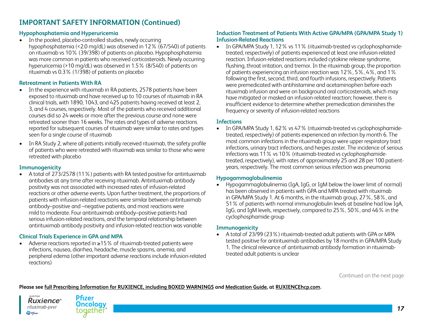#### **Hypophosphatemia and Hyperuricemia**

 $\overline{a}$  in the pooled, placebo-controlled studies, newly occurring hypophosphatemia (<2.0 mg/dL) was observed in 12% (67/540) of patients on rituximab vs 10% (39/398) of patients on placebo. Hypophosphatemia was more common in patients who received corticosteroids. Newly occurring hyperuricemia (>10 mg/dL) was observed in 1.5% (8/540) of patients on rituximab vs 0.3% (1/398) of patients on placebo

#### **Retreatment in Patients With RA**

- In the experience with rituximab in RA patients, 2578 patients have been exposed to rituximab and have received up to 10 courses of rituximab in RA clinical trials, with 1890, 1043, and 425 patients having received at least 2, 3, and 4 courses, respectively. Most of the patients who received additional courses did so 24 weeks or more after the previous course and none were retreated sooner than 16 weeks. The rates and types of adverse reactions reported for subsequent courses of rituximab were similar to rates and types seen for a single course of rituximab
- In RA Study 2, where all patients initially received rituximab, the safety profile of patients who were retreated with rituximab was similar to those who were retreated with placebo

#### **Immunogenicity**

• A total of 273/2578 (11%) patients with RA tested positive for antirituximab antibodies at any time after receiving rituximab. Antirituximab antibody positivity was not associated with increased rates of infusion-related reactions or other adverse events. Upon further treatment, the proportions of patients with infusion-related reactions were similar between antirituximab antibody–positive and –negative patients, and most reactions were mild to moderate. Four antirituximab antibody–positive patients had serious infusion-related reactions, and the temporal relationship between antirituximab antibody positivity and infusion-related reaction was variable

#### **Clinical Trials Experience in GPA and MPA**

• Adverse reactions reported in ≥15% of rituximab-treated patients were infections, nausea, diarrhea, headache, muscle spasms, anemia, and peripheral edema (other important adverse reactions include infusion-related reactions)

#### **Induction Treatment of Patients With Active GPA/MPA (GPA/MPA Study 1) Infusion-Related Reactions**

• In GPA/MPA Study 1, 12% vs 11% (rituximab-treated vs cyclophosphamidetreated, respectively) of patients experienced at least one infusion-related reaction. Infusion-related reactions included cytokine release syndrome, flushing, throat irritation, and tremor. In the rituximab group, the proportion of patients experiencing an infusion reaction was 12%, 5%, 4%, and 1% following the first, second, third, and fourth infusions, respectively. Patients were premedicated with antihistamine and acetaminophen before each rituximab infusion and were on background oral corticosteroids, which may have mitigated or masked an infusion-related reaction; however, there is insufficient evidence to determine whether premedication diminishes the frequency or severity of infusion-related reactions

#### **Infections**

• In GPA/MPA Study 1, 62% vs 47% (rituximab-treated vs cyclophosphamidetreated, respectively) of patients experienced an infection by month 6. The most common infections in the rituximab group were upper respiratory tract infections, urinary tract infections, and herpes zoster. The incidence of serious infections was 11% vs 10% (rituximab-treated vs cyclophosphamidetreated, respectively), with rates of approximately 25 and 28 per 100 patientyears, respectively. The most common serious infection was pneumonia

#### **Hypogammaglobulinemia**

• Hypogammaglobulinemia (IgA, IgG, or IgM below the lower limit of normal) has been observed in patients with GPA and MPA treated with rituximab in GPA/MPA Study 1. At 6 months, in the rituximab group, 27%, 58%, and 51% of patients with normal immunoglobulin levels at baseline had low IgA, IgG, and IgM levels, respectively, compared to 25%, 50%, and 46% in the cyclophosphamide group

#### **Immunogenicity**

• A total of 23/99 (23%) rituximab-treated adult patients with GPA or MPA tested positive for antirituximab antibodies by 18 months in GPA/MPA Study 1. The clinical relevance of antirituximab antibody formation in rituximabtreated adult patients is unclear

Continued on the next page